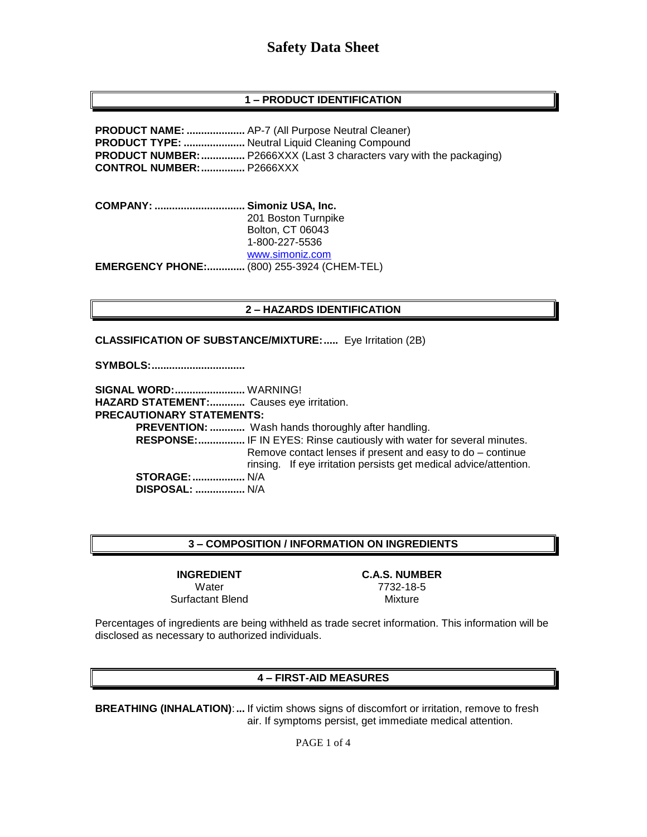## **1 – PRODUCT IDENTIFICATION**

**PRODUCT NAME: ....................** AP-7 (All Purpose Neutral Cleaner) **PRODUCT TYPE: .....................** Neutral Liquid Cleaning Compound **PRODUCT NUMBER:...............** P2666XXX (Last 3 characters vary with the packaging) **CONTROL NUMBER:...............** P2666XXX

**COMPANY: ............................... Simoniz USA, Inc.** 201 Boston Turnpike Bolton, CT 06043 1-800-227-5536 [www.simoniz.com](http://www.simoniz.com/) **EMERGENCY PHONE:.............** (800) 255-3924 (CHEM-TEL)

#### **2 – HAZARDS IDENTIFICATION**

**CLASSIFICATION OF SUBSTANCE/MIXTURE:.....** Eye Irritation (2B)

**SYMBOLS:................................**

**SIGNAL WORD:........................** WARNING! **HAZARD STATEMENT:............** Causes eye irritation. **PRECAUTIONARY STATEMENTS: PREVENTION: ............** Wash hands thoroughly after handling.  **RESPONSE:................** IF IN EYES: Rinse cautiously with water for several minutes. Remove contact lenses if present and easy to do – continue rinsing. If eye irritation persists get medical advice/attention. **STORAGE:..................** N/A  **DISPOSAL: .................** N/A

#### **3 – COMPOSITION / INFORMATION ON INGREDIENTS**

**INGREDIENT C.A.S. NUMBER** Surfactant Blend Mixture

Water 7732-18-5

Percentages of ingredients are being withheld as trade secret information. This information will be disclosed as necessary to authorized individuals.

#### **4 – FIRST-AID MEASURES**

**BREATHING (INHALATION)**:**...** If victim shows signs of discomfort or irritation, remove to fresh air. If symptoms persist, get immediate medical attention.

PAGE 1 of 4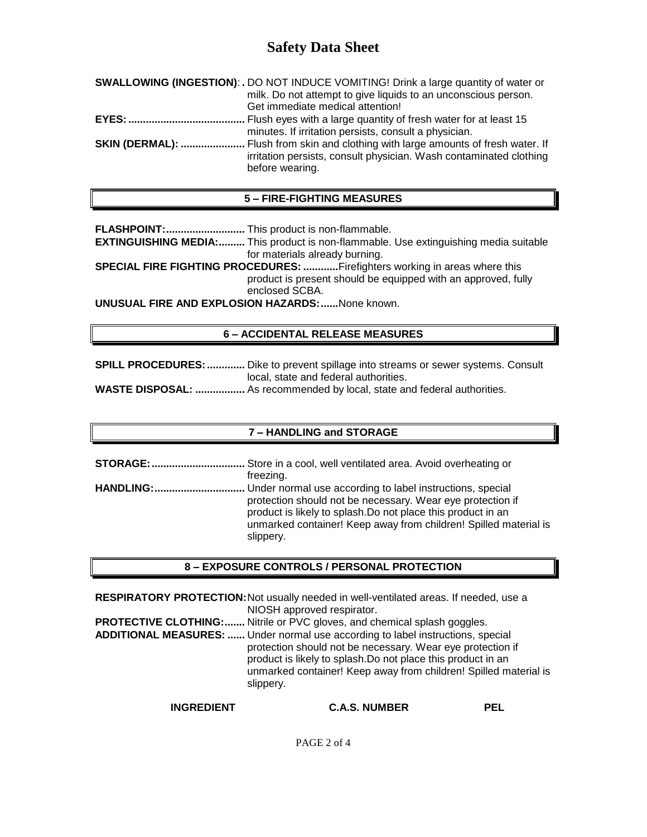| <b>SWALLOWING (INGESTION): .</b> DO NOT INDUCE VOMITING! Drink a large quantity of water or                                                                                        |
|------------------------------------------------------------------------------------------------------------------------------------------------------------------------------------|
| milk. Do not attempt to give liquids to an unconscious person.                                                                                                                     |
| Get immediate medical attention!                                                                                                                                                   |
|                                                                                                                                                                                    |
| minutes. If irritation persists, consult a physician.                                                                                                                              |
| <b>SKIN (DERMAL): </b> Flush from skin and clothing with large amounts of fresh water. If<br>irritation persists, consult physician. Wash contaminated clothing<br>before wearing. |
|                                                                                                                                                                                    |

### **5 – FIRE-FIGHTING MEASURES**

**FLASHPOINT:...........................** This product is non-flammable.

**EXTINGUISHING MEDIA:.........** This product is non-flammable. Use extinguishing media suitable for materials already burning.

**SPECIAL FIRE FIGHTING PROCEDURES: ............**Firefighters working in areas where this product is present should be equipped with an approved, fully enclosed SCBA.

**UNUSUAL FIRE AND EXPLOSION HAZARDS:......**None known.

### **6 – ACCIDENTAL RELEASE MEASURES**

**SPILL PROCEDURES: .............** Dike to prevent spillage into streams or sewer systems. Consult local, state and federal authorities.

**WASTE DISPOSAL: .................** As recommended by local, state and federal authorities.

### **7 – HANDLING and STORAGE**

**STORAGE:................................** Store in a cool, well ventilated area. Avoid overheating or freezing. **HANDLING:...............................** Under normal use according to label instructions, special protection should not be necessary. Wear eye protection if product is likely to splash.Do not place this product in an unmarked container! Keep away from children! Spilled material is slippery.

### **8 – EXPOSURE CONTROLS / PERSONAL PROTECTION**

**RESPIRATORY PROTECTION:**Not usually needed in well-ventilated areas. If needed, use a NIOSH approved respirator. **PROTECTIVE CLOTHING:.......** Nitrile or PVC gloves, and chemical splash goggles. **ADDITIONAL MEASURES: ......** Under normal use according to label instructions, special protection should not be necessary. Wear eye protection if product is likely to splash.Do not place this product in an unmarked container! Keep away from children! Spilled material is slippery.

**INGREDIENT C.A.S. NUMBER PEL**

PAGE 2 of 4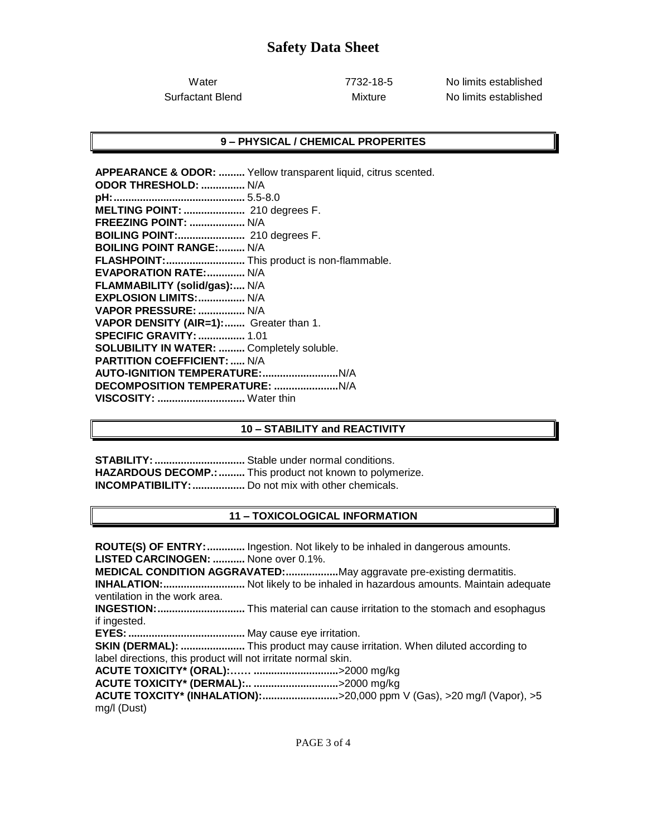Water 7732-18-5 No limits established Surfactant Blend **Mixture** Mixture No limits established

#### **9 – PHYSICAL / CHEMICAL PROPERITES**

**APPEARANCE & ODOR: .........** Yellow transparent liquid, citrus scented. **ODOR THRESHOLD: ...............** N/A **pH:.............................................** 5.5-8.0 **MELTING POINT: .....................** 210 degrees F. **FREEZING POINT: ...................** N/A **BOILING POINT:.......................** 210 degrees F. **BOILING POINT RANGE:.........** N/A **FLASHPOINT:...........................** This product is non-flammable. **EVAPORATION RATE:.............** N/A **FLAMMABILITY (solid/gas):....** N/A **EXPLOSION LIMITS:................** N/A **VAPOR PRESSURE: ................** N/A **VAPOR DENSITY (AIR=1):.......** Greater than 1. **SPECIFIC GRAVITY:................** 1.01 **SOLUBILITY IN WATER: .........** Completely soluble. **PARTITION COEFFICIENT: .....** N/A **AUTO-IGNITION TEMPERATURE:..........................**N/A **DECOMPOSITION TEMPERATURE: ......................**N/A **VISCOSITY: ..............................** Water thin

### **10 – STABILITY and REACTIVITY**

**STABILITY:...............................** Stable under normal conditions. HAZARDOUS DECOMP.: .......... This product not known to polymerize. **INCOMPATIBILITY:..................** Do not mix with other chemicals.

### **11 – TOXICOLOGICAL INFORMATION**

**ROUTE(S) OF ENTRY:.............** Ingestion. Not likely to be inhaled in dangerous amounts. **LISTED CARCINOGEN: ...........** None over 0.1%. **MEDICAL CONDITION AGGRAVATED:..................**May aggravate pre-existing dermatitis. **INHALATION:............................** Not likely to be inhaled in hazardous amounts. Maintain adequate ventilation in the work area. **INGESTION:..............................** This material can cause irritation to the stomach and esophagus if ingested. **EYES:........................................** May cause eye irritation. **SKIN (DERMAL): ......................** This product may cause irritation. When diluted according to label directions, this product will not irritate normal skin. **ACUTE TOXICITY\* (ORAL):…… .............................**>2000 mg/kg **ACUTE TOXICITY\* (DERMAL):.. .............................**>2000 mg/kg **ACUTE TOXCITY\* (INHALATION):..........................**>20,000 ppm V (Gas), >20 mg/l (Vapor), >5 mg/l (Dust)